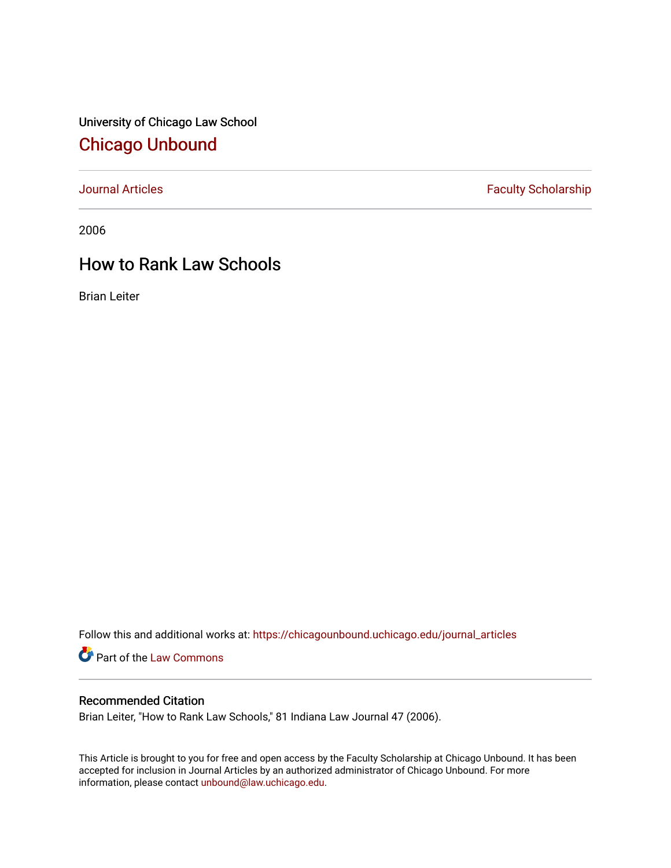University of Chicago Law School [Chicago Unbound](https://chicagounbound.uchicago.edu/)

[Journal Articles](https://chicagounbound.uchicago.edu/journal_articles) **Faculty Scholarship Faculty Scholarship** 

2006

# How to Rank Law Schools

Brian Leiter

Follow this and additional works at: [https://chicagounbound.uchicago.edu/journal\\_articles](https://chicagounbound.uchicago.edu/journal_articles?utm_source=chicagounbound.uchicago.edu%2Fjournal_articles%2F1562&utm_medium=PDF&utm_campaign=PDFCoverPages) 

Part of the [Law Commons](http://network.bepress.com/hgg/discipline/578?utm_source=chicagounbound.uchicago.edu%2Fjournal_articles%2F1562&utm_medium=PDF&utm_campaign=PDFCoverPages)

## Recommended Citation

Brian Leiter, "How to Rank Law Schools," 81 Indiana Law Journal 47 (2006).

This Article is brought to you for free and open access by the Faculty Scholarship at Chicago Unbound. It has been accepted for inclusion in Journal Articles by an authorized administrator of Chicago Unbound. For more information, please contact [unbound@law.uchicago.edu](mailto:unbound@law.uchicago.edu).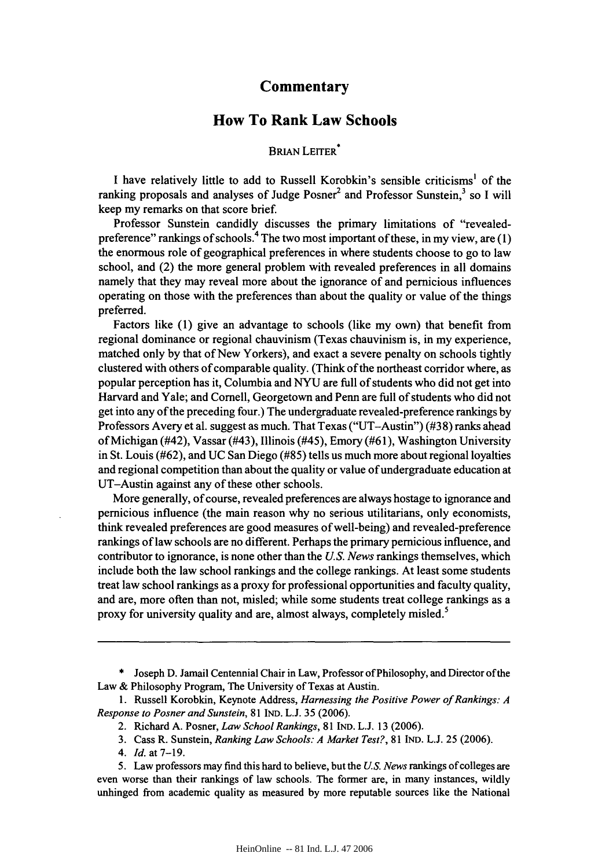### **Commentary**

### **How To Rank Law Schools**

#### BRIAN LEITER<sup>\*</sup>

**I** have relatively little to add to Russell Korobkin's sensible criticisms' of the ranking proposals and analyses of Judge Posner<sup>2</sup> and Professor Sunstein,<sup>3</sup> so I will keep my remarks on that score brief.

Professor Sunstein candidly discusses the primary limitations of "revealedpreference" rankings of schools.4 The two most important of these, in my view, are **(1)** the enormous role of geographical preferences in where students choose to go to law school, and (2) the more general problem with revealed preferences in all domains namely that they may reveal more about the ignorance of and pernicious influences operating on those with the preferences than about the quality or value of the things preferred.

Factors like **(1)** give an advantage to schools (like my own) that benefit from regional dominance or regional chauvinism (Texas chauvinism is, in my experience, matched only **by** that of New Yorkers), and exact a severe penalty on schools tightly clustered with others of comparable quality. (Think of the northeast corridor where, as popular perception has it, Columbia and **NYU** are full of students who did not get into Harvard and Yale; and Cornell, Georgetown and Penn are full of students who did not get into any of the preceding four.) The undergraduate revealed-preference rankings by Professors Avery et al. suggest as much. That Texas ("UT-Austin") (#38) ranks ahead of Michigan (#42), Vassar (#43), Illinois (#45), Emory (#61), Washington University in St. Louis (#62), and UC San Diego (#85) tells us much more about regional loyalties and regional competition than about the quality or value of undergraduate education at UT-Austin against any of these other schools.

More generally, of course, revealed preferences are always hostage to ignorance and pernicious influence (the main reason why no serious utilitarians, only economists, think revealed preferences are good measures of well-being) and revealed-preference rankings of law schools are no different. Perhaps the primary pernicious influence, and contributor to ignorance, is none other than the *US. News* rankings themselves, which include both the law school rankings and the college rankings. At least some students treat law school rankings as a proxy for professional opportunities and faculty quality, and are, more often than not, misled; while some students treat college rankings as a proxy for university quality and are, almost always, completely misled.<sup>5</sup>

\* Joseph D. Jamail Centennial Chair in Law, Professor of Philosophy, and Director of the Law & Philosophy Program, The University of Texas at Austin.

4. *Id.* at 7-19.

<sup>1.</sup> Russell Korobkin, Keynote Address, *Harnessing the Positive Power of Rankings: A Response to Posner and Sunstein,* 81 IND. L.J. 35 (2006).

<sup>2.</sup> Richard A. Posner, *Law School Rankings,* 81 IND. L.J 13 (2006).

<sup>3.</sup> Cass R. Sunstein, *Ranking Law Schools: A Market Test?,* 81 IND. L.J. 25 (2006).

<sup>5.</sup> Law professors may find this hard to believe, but the *U.S. News* rankings of colleges are even worse than their rankings of law schools. The former are, in many instances, wildly unhinged from academic quality as measured by more reputable sources like the National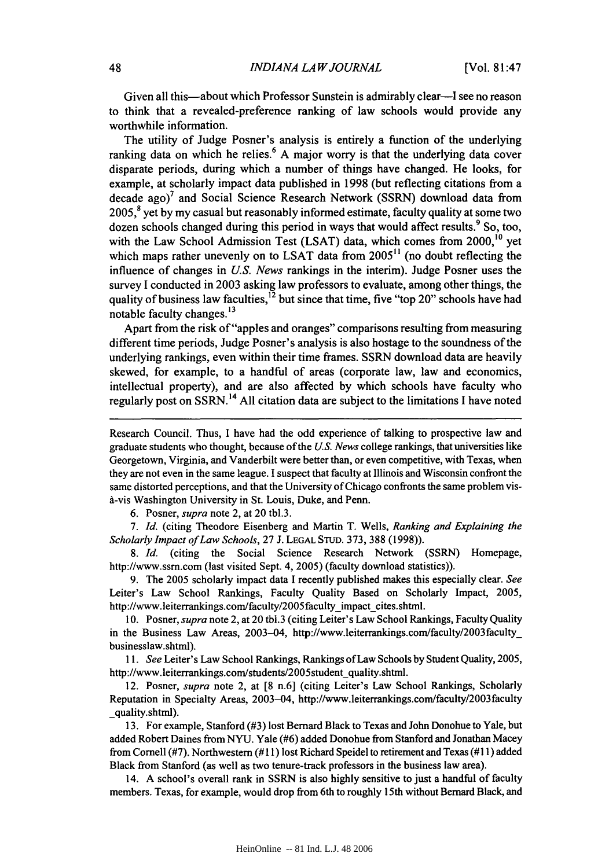Given all this-about which Professor Sunstein is admirably clear-I see no reason to think that a revealed-preference ranking of law schools would provide any worthwhile information.

The utility of Judge Posner's analysis is entirely a function of the underlying ranking data on which he relies.<sup>6</sup> A major worry is that the underlying data cover disparate periods, during which a number of things have changed. He looks, for example, at scholarly impact data published in 1998 (but reflecting citations from a decade ago)<sup>7</sup> and Social Science Research Network (SSRN) download data from  $2005$ ,<sup>8</sup> yet by my casual but reasonably informed estimate, faculty quality at some two dozen schools changed during this period in ways that would affect results.  $9$  So, too, with the Law School Admission Test (LSAT) data, which comes from 2000,<sup>10</sup> yet which maps rather unevenly on to LSAT data from  $2005<sup>11</sup>$  (no doubt reflecting the influence of changes in *US. News* rankings in the interim). Judge Posner uses the survey I conducted in 2003 asking law professors to evaluate, among other things, the quality of business law faculties,<sup>12</sup> but since that time, five "top 20" schools have had notable faculty changes.<sup>13</sup>

Apart from the risk of "apples and oranges" comparisons resulting from measuring different time periods, Judge Posner's analysis is also hostage to the soundness of the underlying rankings, even within their time frames. SSRN download data are heavily skewed, for example, to a handful of areas (corporate law, law and economics, intellectual property), and are also affected by which schools have faculty who regularly post on SSRN.14 **All** citation data are subject to the limitations **I** have noted

Research Council. Thus, I have had the odd experience of talking to prospective law and graduate students who thought, because of the *US. News* college rankings, that universities like Georgetown, Virginia, and Vanderbilt were better than, or even competitive, with Texas, when they are not even in the same league. I suspect that faculty at Illinois and Wisconsin confront the same distorted perceptions, and that the University of Chicago confronts the same problem vis- $\alpha$ -vis Washington University in St. Louis, Duke, and Penn.

6. Posner, *supra* note 2, at 20 tbl.3.

7. *Id.* (citing Theodore Eisenberg and Martin T. Wells, *Ranking and Explaining the Scholarly Impact of Law Schools,* 27 J. LEGAL STUD. 373, 388 (1998)).

8. *Id.* (citing the Social Science Research Network (SSRN) Homepage, http://www.ssm.com (last visited Sept. 4, 2005) (faculty download statistics)).

9. The 2005 scholarly impact data I recently published makes this especially clear. *See* Leiter's Law School Rankings, Faculty Quality Based on Scholarly Impact, 2005, http://www.leiterrankings.com/faculty/2005faculty impact cites.shtml.

10. Posner, *supra* note 2, at 20 tbl.3 (citing Leiter's Law School Rankings, Faculty Quality in the Business Law Areas, 2003-04, http://www.leiterrankings.com/faculty/2003faculty\_ businesslaw.shtml).

*11. See* Leiter's Law School Rankings, Rankings of Law Schools by Student Quality, 2005, http://www.leiterrankings.com/students/2005student\_quality.shtml.

12. Posner, *supra* note 2, at [8 n.6] (citing Leiter's Law School Rankings, Scholarly Reputation in Specialty Areas, 2003-04, http://www.leiterrankings.com/faculty/2003faculty \_quality.shtml).

13. For example, Stanford (#3) lost Bernard Black to Texas and John Donohue to Yale, but added Robert Daines from NYU. Yale (#6) added Donohue from Stanford and Jonathan Macey from Cornell (#7). Northwestern (# 11) lost Richard Speidel to retirement and Texas (#11) added Black from Stanford (as well as two tenure-track professors in the business law area).

14. A school's overall rank in SSRN is also highly sensitive to just a handful of faculty members. Texas, for example, would drop from 6th to roughly 15th without Bernard Black, and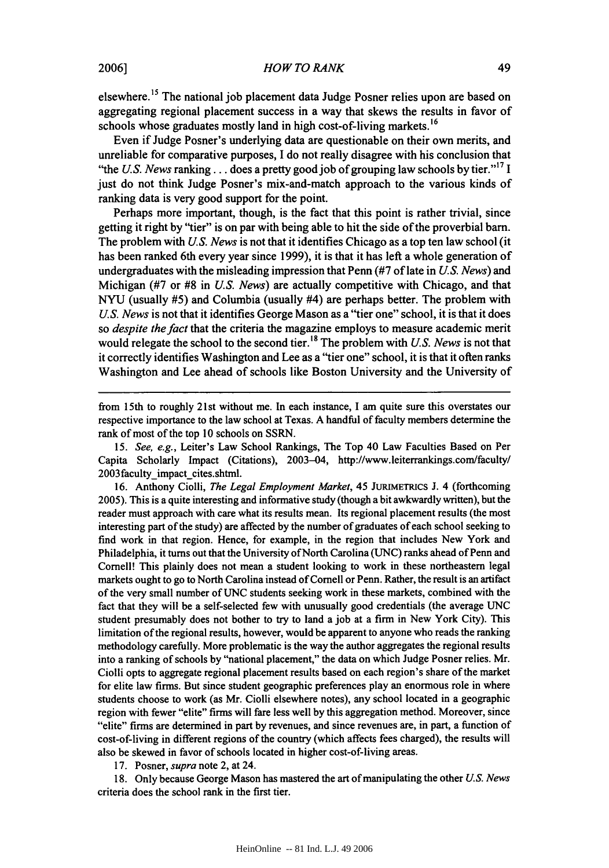elsewhere.15 The national **job** placement data Judge Posner relies upon are based on aggregating regional placement success in a way that skews the results in favor of schools whose graduates mostly land in high cost-of-living markets.<sup>16</sup>

Even if Judge Posner's underlying data are questionable on their own merits, and unreliable for comparative purposes, I do not really disagree with his conclusion that "the *U.S. News* **ranking...** does a pretty good job of grouping law schools **by** tier."' <sup>17</sup>**I** just do not think Judge Posner's mix-and-match approach to the various kinds of ranking data is very good support for the point.

Perhaps more important, though, is the fact that this point is rather trivial, since getting it right **by** "tier" is on par with being able to hit the side of the proverbial barn. The problem with *US. News* is not that it identifies Chicago as a top ten law school (it has been ranked 6th every year since 1999), it is that it has left a whole generation of undergraduates with the misleading impression that Penn (#7 of late in *U.S. News)* and Michigan (#7 or **#8** in *U.S. News)* are actually competitive with Chicago, and that NYU (usually #5) and Columbia (usually #4) are perhaps better. The problem with *US. News* is not that it identifies George Mason as a "tier one" school, it is that it does so *despite the fact* that the criteria the magazine employs to measure academic merit would relegate the school to the second tier.<sup>18</sup> The problem with *U.S. News* is not that it correctly identifies Washington and Lee as a "tier one" school, it is that it often ranks Washington and Lee ahead of schools like Boston University and the University of

from 15th to roughly 21st without me. In each instance, I am quite sure this overstates our respective importance to the law school at Texas. A handful of faculty members determine the rank of most of the top 10 schools on SSRN.

15. *See, e.g.,* Leiter's Law School Rankings, The Top 40 Law Faculties Based on Per Capita Scholarly Impact (Citations), 2003-04, http://www.leiterrankings.com/faculty/ 2003 faculty impact cites.shtml.

16. Anthony Ciolli, *The Legal Employment Market,* 45 JURIMETRICS J. 4 (forthcoming 2005). This is a quite interesting and informative study (though a bit awkwardly written), but the reader must approach with care what its results mean. Its regional placement results (the most interesting part of the study) are affected by the number of graduates of each school seeking to find work in that region. Hence, for example, in the region that includes New York and Philadelphia, it turns out that the University of North Carolina **(UNC)** ranks ahead of Penn and Cornell! This plainly does not mean a student looking to work in these northeastern legal markets ought to go to North Carolina instead of Cornell or Penn. Rather, the result is an artifact of the very small number of **UNC** students seeking work in these markets, combined with the fact that they will be a self-selected few with unusually good credentials (the average **UNC** student presumably does not bother to try to land a **job** at a firm in New York City). This limitation of the regional results, however, would be apparent to anyone who reads the ranking methodology carefully. More problematic is the way the author aggregates the regional results into a ranking of schools **by** "national placement," the data on which Judge Posner relies. Mr. Ciolli opts to aggregate regional placement results based on each region's share of the market for elite law firms. But since student geographic preferences play an enormous role in where students choose to work (as Mr. Ciolli elsewhere notes), any school located in a geographic region with fewer "elite" firms will fare less well **by** this aggregation method. Moreover, since "elite" firms are determined in part **by** revenues, and since revenues are, in part, a function of cost-of-living in different regions of the country (which affects fees charged), the results will also be skewed in favor of schools located in higher cost-of-living areas.

17. Posner, *supra* note 2, at 24.

**18.** Only because George Mason has mastered the art of manipulating the other *US. News* criteria does the school rank in the first tier.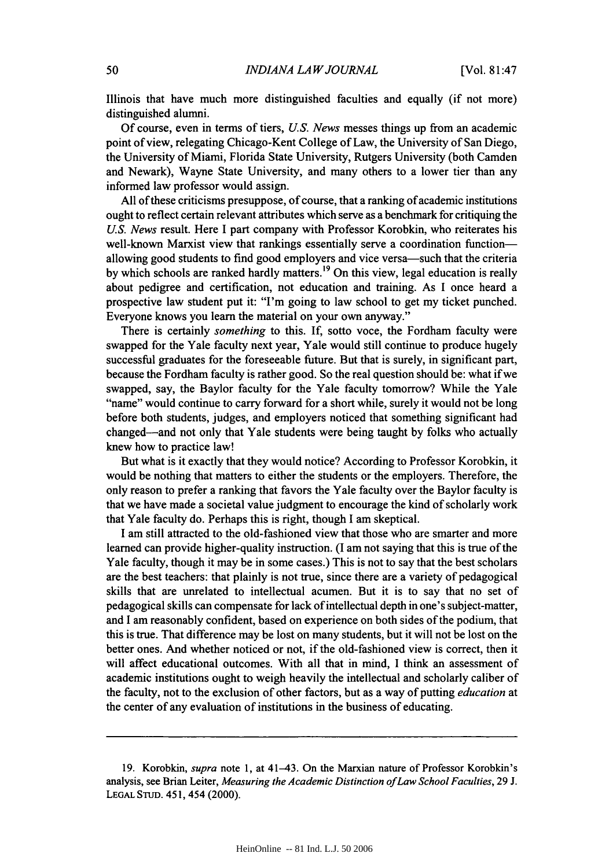Illinois that have much more distinguished faculties and equally (if not more) distinguished alumni.

Of course, even in terms of tiers, *US. News* messes things up from an academic point of view, relegating Chicago-Kent College of Law, the University of San Diego, the University of Miami, Florida State University, Rutgers University (both Camden and Newark), Wayne State University, and many others to a lower tier than any informed law professor would assign.

All of these criticisms presuppose, of course, that a ranking of academic institutions ought to reflect certain relevant attributes which serve as a benchmark for critiquing the *US. News* result. Here I part company with Professor Korobkin, who reiterates his well-known Marxist view that rankings essentially serve a coordination functionallowing good students to find good employers and vice versa-such that the criteria by which schools are ranked hardly matters.<sup>19</sup> On this view, legal education is really about pedigree and certification, not education and training. As I once heard a prospective law student put it: "I'm going to law school to get my ticket punched. Everyone knows you learn the material on your own anyway."

There is certainly *something* to this. **If,** sotto voce, the Fordham faculty were swapped for the Yale faculty next year, Yale would still continue to produce hugely successful graduates for the foreseeable future. But that is surely, in significant part, because the Fordham faculty is rather good. So the real question should be: what if we swapped, say, the Baylor faculty for the Yale faculty tomorrow? While the Yale "name" would continue to carry forward for a short while, surely it would not be long before both students, judges, and employers noticed that something significant had changed-and not only that Yale students were being taught **by** folks who actually knew how to practice law!

But what is it exactly that they would notice? According to Professor Korobkin, it would be nothing that matters to either the students or the employers. Therefore, the only reason to prefer a ranking that favors the Yale faculty over the Baylor faculty is that we have made a societal value judgment to encourage the kind of scholarly work that Yale faculty do. Perhaps this is right, though I am skeptical.

**I** am still attracted to the old-fashioned view that those who are smarter and more learned can provide higher-quality instruction. (I am not saying that this is true of the Yale faculty, though it may be in some cases.) This is not to say that the best scholars are the best teachers: that plainly is not true, since there are a variety of pedagogical skills that are unrelated to intellectual acumen. But it is to say that no set of pedagogical skills can compensate for lack of intellectual depth in one's subject-matter, and I am reasonably confident, based on experience on both sides of the podium, that this is true. That difference may be lost on many students, but it will not be lost on the better ones. And whether noticed or not, if the old-fashioned view is correct, then it will affect educational outcomes. With all that in mind, I think an assessment of academic institutions ought to weigh heavily the intellectual and scholarly caliber of the faculty, not to the exclusion of other factors, but as a way of putting *education* at the center of any evaluation of institutions in the business of educating.

<sup>19.</sup> Korobkin, *supra* note 1, at 41-43. On the Marxian nature of Professor Korobkin's analysis, see Brian Leiter, *Measuring the Academic Distinction of Law School Faculties,* 29 J. LEGAL STUD. 451, 454 (2000).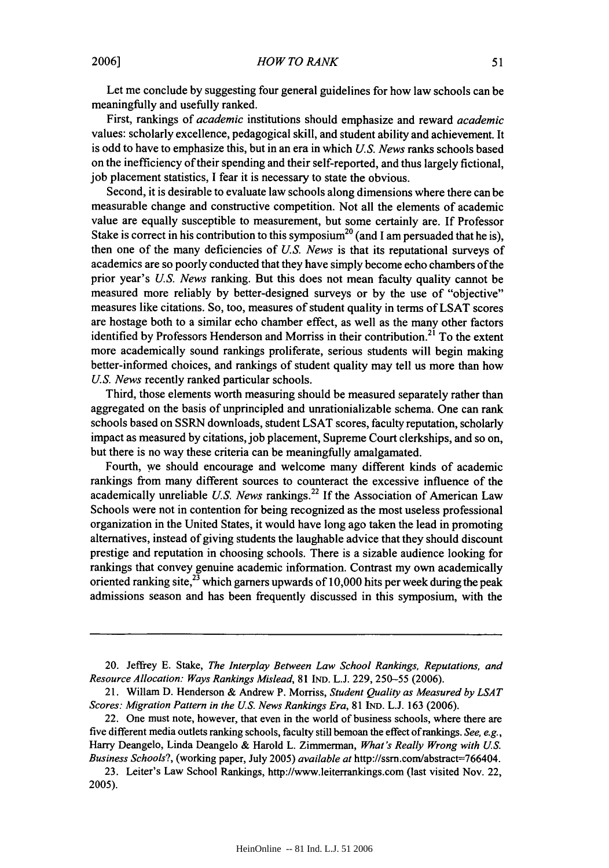Let me conclude by suggesting four general guidelines for how law schools can be meaningfully and usefully ranked.

First, rankings of *academic* institutions should emphasize and reward *academic* values: scholarly excellence, pedagogical skill, and student ability and achievement. It is odd to have to emphasize this, but in an era in which *U.S. News* ranks schools based on the inefficiency of their spending and their self-reported, and thus largely fictional, job placement statistics, I fear it is necessary to state the obvious.

Second, it is desirable to evaluate law schools along dimensions where there can be measurable change and constructive competition. Not all the elements of academic value are equally susceptible to measurement, but some certainly are. If Professor Stake is correct in his contribution to this symposium<sup>20</sup> (and I am persuaded that he is), then one of the many deficiencies of *U.S. News* is that its reputational surveys of academics are so poorly conducted that they have simply become echo chambers ofthe prior year's *U.S. News* ranking. But this does not mean faculty quality cannot be measured more reliably by better-designed surveys or by the use of "objective" measures like citations. So, too, measures of student quality in terms of LSAT scores are hostage both to a similar echo chamber effect, as well as the many other factors identified by Professors Henderson and Morriss in their contribution.<sup>21</sup> To the extent more academically sound rankings proliferate, serious students will begin making better-informed choices, and rankings of student quality may tell us more than how *U.S. News* recently ranked particular schools.

Third, those elements worth measuring should be measured separately rather than aggregated on the basis of unprincipled and unrationializable schema. One can rank schools based on SSRN downloads, student LSAT scores, faculty reputation, scholarly impact as measured by citations, job placement, Supreme Court clerkships, and so on, but there is no way these criteria can be meaningfully amalgamated.

Fourth, we should encourage and welcome many different kinds of academic rankings from many different sources to counteract the excessive influence of the academically unreliable *U.S. News* rankings.<sup>22</sup> If the Association of American Law Schools were not in contention for being recognized as the most useless professional organization in the United States, it would have long ago taken the lead in promoting alternatives, instead of giving students the laughable advice that they should discount prestige and reputation in choosing schools. There is a sizable audience looking for rankings that convey genuine academic information. Contrast my own academically oriented ranking site, $^{23}$  which garners upwards of 10,000 hits per week during the peak admissions season and has been frequently discussed in this symposium, with the

20. Jeffrey E. Stake, *The Interplay Between Law School Rankings, Reputations, and Resource Allocation: Ways Rankings Mislead,* 81 IND. L.J. 229, 250-55 (2006).

<sup>21.</sup> Willam D. Henderson & Andrew P. Morriss, *Student Quality as Measured by LSAT Scores: Migration Pattern in the US. News Rankings Era,* 81 IND. L.J. 163 (2006).

<sup>22.</sup> One must note, however, that even in the world of business schools, where there are five different media outlets ranking schools, faculty still bemoan the effect of rankings. *See, e.g.,* Harry Deangelo, Linda Deangelo & Harold L. Zimmerman, *What's Really Wrong with US. Business Schools?,* (working paper, July 2005) *available at* http://ssm.com/abstract=766404.

<sup>23.</sup> Leiter's Law School Rankings, http://www.leiterrankings.com (last visited Nov. 22, 2005).